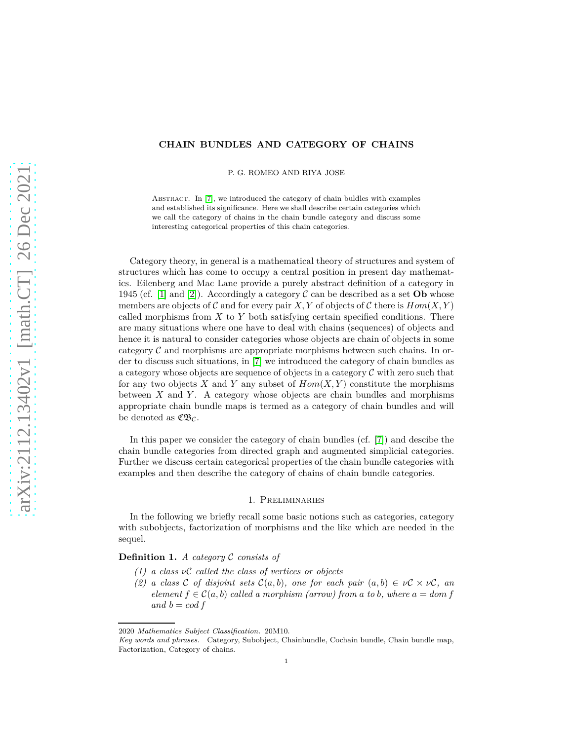## **CHAIN BUNDLES AND CATEGORY OF CHAINS**

P. G. ROMEO AND RIYA JOSE

ABSTRACT. In [\[7\]](#page-12-0), we introduced the category of chain buldles with examples and established its significance. Here we shall describe certain categories which we call the category of chains in the chain bundle category and discuss some interesting categorical properties of this chain categories.

Category theory, in general is a mathematical theory of structures and system of structures which has come to occupy a central position in present day mathematics. Eilenberg and Mac Lane provide a purely abstract definition of a category in 1945 (cf. [\[1\]](#page-12-1) and [\[2\]](#page-12-2)). Accordingly a category  $\mathcal{C}$  can be described as a set **Ob** whose members are objects of C and for every pair X, Y of objects of C there is  $Hom(X, Y)$ called morphisms from *X* to *Y* both satisfying certain specified conditions. There are many situations where one have to deal with chains (sequences) of objects and hence it is natural to consider categories whose objects are chain of objects in some category  $\mathcal C$  and morphisms are appropriate morphisms between such chains. In order to discuss such situations, in [\[7\]](#page-12-0) we introduced the category of chain bundles as a category whose objects are sequence of objects in a category  $\mathcal C$  with zero such that for any two objects  $X$  and  $Y$  any subset of  $Hom(X, Y)$  constitute the morphisms between *X* and *Y* . A category whose objects are chain bundles and morphisms appropriate chain bundle maps is termed as a category of chain bundles and will be denoted as  $\mathfrak{C}\mathfrak{B}_{\mathcal{C}}$ .

In this paper we consider the category of chain bundles (cf. [\[7\]](#page-12-0)) and descibe the chain bundle categories from directed graph and augmented simplicial categories. Further we discuss certain categorical properties of the chain bundle categories with examples and then describe the category of chains of chain bundle categories.

### 1. Preliminaries

In the following we briefly recall some basic notions such as categories, category with subobjects, factorization of morphisms and the like which are needed in the sequel.

**Definition 1.** *A category* C *consists of*

- *(1) a class ν*C *called the class of vertices or objects*
- *(2) a class* C *of disjoint sets*  $C(a, b)$ *, one for each pair*  $(a, b) \in \nu C \times \nu C$ *, an element*  $f \in C(a, b)$  *called a morphism (arrow) from a to b, where*  $a = dom f$ *and*  $b = cod f$

<sup>2020</sup> *Mathematics Subject Classification.* 20M10.

*Key words and phrases.* Category, Subobject, Chainbundle, Cochain bundle, Chain bundle map, Factorization, Category of chains.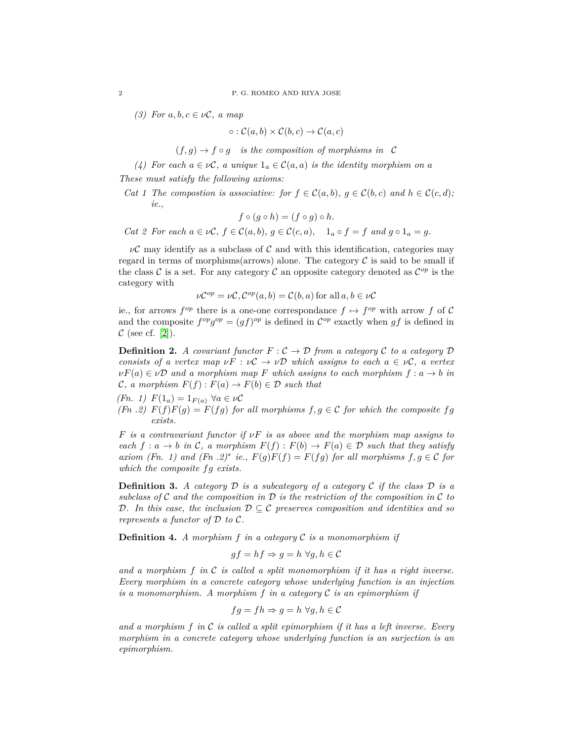*(3)* For *a*, *b*, *c* ∈  $ν$ *C*, *a* map

$$
\circ : \mathcal{C}(a,b) \times \mathcal{C}(b,c) \to \mathcal{C}(a,c)
$$

 $(f, g) \rightarrow f \circ g$  *is the composition of morphisms in* C

*(4)* For each  $a \in \nu\mathcal{C}$ , a unique  $1_a \in \mathcal{C}(a, a)$  is the identity morphism on a *These must satisfy the following axioms:*

*Cat 1 The compostion is associative: for*  $f \in C(a, b)$ ,  $g \in C(b, c)$  and  $h \in C(c, d)$ ; *ie.,*

$$
f \circ (g \circ h) = (f \circ g) \circ h.
$$

*Cat 2 For each*  $a \in \nu\mathcal{C}, f \in \mathcal{C}(a, b), g \in \mathcal{C}(c, a), 1_a \circ f = f$  and  $g \circ 1_a = g$ .

 $\nu\mathcal{C}$  may identify as a subclass of  $\mathcal{C}$  and with this identification, categories may regard in terms of morphisms(arrows) alone. The category  $\mathcal C$  is said to be small if the class  $\mathcal C$  is a set. For any category  $\mathcal C$  an opposite category denoted as  $\mathcal C^{op}$  is the category with

$$
\nu \mathcal{C}^{op} = \nu \mathcal{C}, \mathcal{C}^{op}(a, b) = \mathcal{C}(b, a) \text{ for all } a, b \in \nu \mathcal{C}
$$

ie., for arrows  $f^{op}$  there is a one-one correspondance  $f \mapsto f^{op}$  with arrow f of C and the composite  $f^{op}g^{op} = (gf)^{op}$  is defined in  $\mathcal{C}^{op}$  exactly when  $gf$  is defined in  $\mathcal{C}$  (see cf. [\[2\]](#page-12-2)).

**Definition 2.** *A covariant functor*  $F : \mathcal{C} \to \mathcal{D}$  *from a category*  $\mathcal{C}$  *to a category*  $\mathcal{D}$ *consists of a vertex map*  $\nu F : \nu C \to \nu D$  *which assigns to each*  $a \in \nu C$ , a vertex  $\nu F(a) \in \nu \mathcal{D}$  *and a morphism map F which assigns to each morphism*  $f : a \to b$  *in*  $\mathcal{C}, a$  morphism  $F(f): F(a) \to F(b) \in \mathcal{D}$  such that

*(Fn .2)*  $F(f)F(g) = F(fg)$  *for all morphisms*  $f, g \in C$  *for which the composite*  $fg$ *exists.*

*F is a contravariant functor if νF is as above and the morphism map assigns to each*  $f: a \to b$  *in* C, a morphism  $F(f): F(b) \to F(a) \in \mathcal{D}$  such that they satisfy *axiom (Fn. 1) and (Fn. 2)<sup>\*</sup> ie.,*  $F(g)F(f) = F(fg)$  *for all morphisms*  $f, g \in \mathcal{C}$  *for which the composite fg exists.*

**Definition 3.** *A category* D *is a subcategory of a category* C *if the class* D *is a subclass of*  $C$  *and the composition in*  $D$  *is the restriction of the composition in*  $C$  *to* D*. In this case, the inclusion* D ⊆ C *preserves composition and identities and so represents a functor of*  $D$  *to*  $C$ *.* 

**Definition 4.** *A morphism f in a category* C *is a monomorphism if*

$$
gf = hf \Rightarrow g = h \forall g, h \in C
$$

*and a morphism f in* C *is called a split monomorphism if it has a right inverse. Every morphism in a concrete category whose underlying function is an injection is a monomorphism. A morphism f in a category* C *is an epimorphism if*

$$
fg = fh \Rightarrow g = h \,\,\forall g, h \in \mathcal{C}
$$

*and a morphism f in* C *is called a split epimorphism if it has a left inverse. Every morphism in a concrete category whose underlying function is an surjection is an epimorphism.*

*<sup>(</sup>Fn. 1)*  $F(1_a) = 1_{F(a)}$  ∀*a* ∈  $\nu$ *C*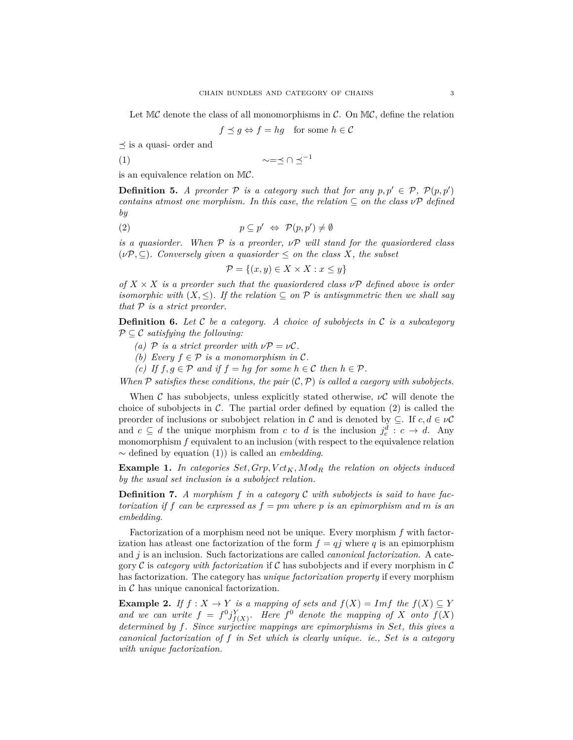Let  $MC$  denote the class of all monomorphisms in C. On  $MC$ , define the relation

 $f \preceq g \Leftrightarrow f = hg$  for some  $h \in \mathcal{C}$ 

 $\prec$  is a quasi- order and

$$
\sim = \preceq \cap \preceq^{-1}
$$

is an equivalence relation on MC.

**Definition 5.** *A preorder*  $P$  *is a category such that for any*  $p, p' \in P$ ,  $P(p, p')$ *contains atmost one morphism. In this case, the relation*  $\subset$  *on the class*  $\nu \mathcal{P}$  *defined by*

(2) 
$$
p \subseteq p' \Leftrightarrow \mathcal{P}(p, p') \neq \emptyset
$$

*is a quasiorder. When* P *is a preorder, ν*P *will stand for the quasiordered class*  $(\nu P, \subseteq)$ *. Conversely given a quasiorder*  $\leq$  *on the class X, the subset* 

$$
\mathcal{P} = \{(x, y) \in X \times X : x \le y\}
$$

*of*  $X \times X$  *is a preorder such that the quasiordered class*  $\nu P$  *defined above is order isomorphic with*  $(X, \leq)$ *. If the relation*  $\subseteq$  *on*  $P$  *is antisymmetric then we shall say that* P *is a strict preorder.*

**Definition 6.** *Let* C *be a category. A choice of subobjects in* C *is a subcategory* P ⊆ C *satisfying the following:*

- *(a)*  $\mathcal{P}$  *is a strict preorder with*  $\nu \mathcal{P} = \nu \mathcal{C}$ *.*
- *(b)* Every  $f \in \mathcal{P}$  *is a monomorphism in*  $\mathcal{C}$ *.*
- *(c) If*  $f, g ∈ P$  *and if*  $f = hg$  *for some*  $h ∈ C$  *then*  $h ∈ P$ *.*

*When*  $\mathcal P$  *satisfies these conditions, the pair*  $(\mathcal C, \mathcal P)$  *is called a caegory with subobjects.* 

When C has subobjects, unless explicitly stated otherwise,  $\nu C$  will denote the choice of subobjects in  $\mathcal C$ . The partial order defined by equation (2) is called the preorder of inclusions or subobject relation in C and is denoted by  $\subseteq$ . If  $c, d \in \nu\mathcal{C}$ and  $c \subseteq d$  the unique morphism from  $c$  to  $d$  is the inclusion  $j_c^d : c \to d$ . Any monomorphism  $f$  equivalent to an inclusion (with respect to the equivalence relation ∼ defined by equation (1)) is called an *embedding*.

**Example 1.** *In categories Set, Grp, V ctK, Mod<sup>R</sup> the relation on objects induced by the usual set inclusion is a subobject relation.*

**Definition 7.** *A morphism f in a category* C *with subobjects is said to have factorization if f can be expressed as f* = *pm where p is an epimorphism and m is an embedding.*

Factorization of a morphism need not be unique. Every morphism *f* with factorization has at least one factorization of the form  $f = qj$  where q is an epimorphism and *j* is an inclusion. Such factorizations are called *canonical factorization*. A category C is *category with factorization* if C has subobjects and if every morphism in C has factorization. The category has *unique factorization property* if every morphism in  $\mathcal C$  has unique canonical factorization.

**Example 2.** *If*  $f: X \to Y$  *is a mapping of sets and*  $f(X) = Imf$  *the*  $f(X) \subseteq Y$ and we can write  $f = f^0 j_{f(X)}^Y$ . Here  $f^0$  denote the mapping of X onto  $f(X)$ *determined by f. Since surjective mappings are epimorphisms in Set, this gives a canonical factorization of f in Set which is clearly unique. ie., Set is a category with unique factorization.*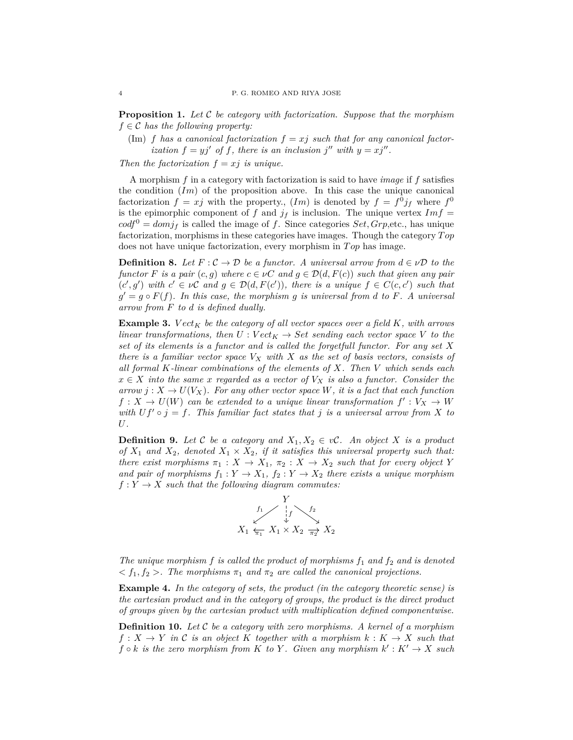**Proposition 1.** *Let* C *be category with factorization. Suppose that the morphism*  $f \in \mathcal{C}$  *has the following property:* 

 $(Im)$  *f has a canonical factorization*  $f = xj$  *such that for any canonical factorization*  $f = yj'$  *of*  $f$ *, there is an inclusion*  $j''$  *with*  $y = xj''$ *.* 

*Then the factorization*  $f = xj$  *is unique.* 

A morphism *f* in a category with factorization is said to have *image* if *f* satisfies the condition (*Im*) of the proposition above. In this case the unique canonical factorization  $f = xj$  with the property.,  $(Im)$  is denoted by  $f = f^0j_f$  where  $f^0$ is the epimorphic component of  $f$  and  $j_f$  is inclusion. The unique vertex  $Im f =$  $\text{cod} \mathfrak{f}^0 = \text{dom} \mathfrak{f}_f$  is called the image of f. Since categories  $\text{Set}, \text{Grp}, \text{etc.}$ , has unique factorization, morphisms in these categories have images. Though the category *T op* does not have unique factorization, every morphism in *T op* has image.

**Definition 8.** Let  $F: \mathcal{C} \to \mathcal{D}$  be a functor. A universal arrow from  $d \in \mathcal{VD}$  to the *functor F is a pair*  $(c, g)$  *where*  $c \in \nu C$  *and*  $g \in \mathcal{D}(d, F(c))$  *such that given any pair*  $(c', g')$  with  $c' \in \nu C$  and  $g \in \mathcal{D}(d, F(c'))$ , there is a unique  $f \in C(c, c')$  such that  $g' = g \circ F(f)$ . In this case, the morphism g is universal from *d* to *F*. A universal *arrow from F to d is defined dually.*

**Example 3.** *Vect<sub>K</sub> be the category of all vector spaces over a field K, with arrows linear transformations, then*  $U: Vect_K \rightarrow Set$  *sending each vector space*  $V$  *to the set of its elements is a functor and is called the forgetfull functor. For any set X there is a familiar vector space V<sup>X</sup> with X as the set of basis vectors, consists of all formal K-linear combinations of the elements of X. Then V which sends each*  $x \in X$  *into the same x regarded as a vector of*  $V_X$  *is also a functor. Consider the*  $arrow$  *j* :  $X \rightarrow U(V_X)$ *. For any other vector space W, it is a fact that each function*  $f: X \to U(W)$  can be extended to a unique linear transformation  $f': V_X \to W$ *with*  $Uf' \circ j = f$ . This familiar fact states that *j* is a universal arrow from *X* to *U.*

**Definition 9.** Let C be a category and  $X_1, X_2 \in \nu$ C. An object X is a product *of*  $X_1$  *and*  $X_2$ *, denoted*  $X_1 \times X_2$ *, if it satisfies this universal property such that: there exist morphisms*  $\pi_1 : X \to X_1$ ,  $\pi_2 : X \to X_2$  *such that for every object Y and pair of morphisms*  $f_1: Y \to X_1$ ,  $f_2: Y \to X_2$  *there exists a unique morphism*  $f: Y \to X$  *such that the following diagram commutes:* 



*The unique morphism f is called the product of morphisms f*<sup>1</sup> *and f*<sup>2</sup> *and is denoted*  $\langle f_1, f_2 \rangle$ . The morphisms  $\pi_1$  and  $\pi_2$  are called the canonical projections.

**Example 4.** *In the category of sets, the product (in the category theoretic sense) is the cartesian product and in the category of groups, the product is the direct product of groups given by the cartesian product with multiplication defined componentwise.*

**Definition 10.** *Let* C *be a category with zero morphisms. A kernel of a morphism*  $f: X \to Y$  *in* C *is an object* K *together with a morphism*  $k: K \to X$  *such that*  $f \circ k$  *is the zero morphism from*  $K$  *to*  $Y$ *. Given any morphism*  $k' : K' \to X$  *such*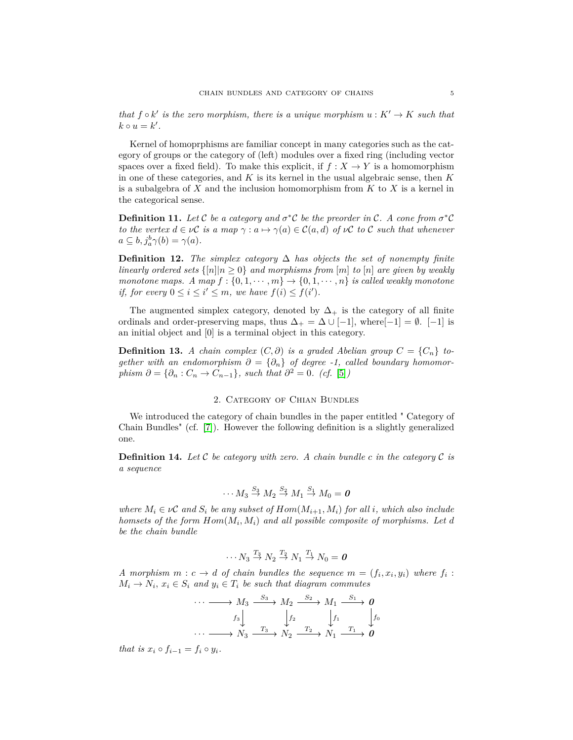*that*  $f \circ k'$  *is the zero morphism, there is a unique morphism*  $u : K' \to K$  *such that*  $k \circ u = k'$ .

Kernel of homoprphisms are familiar concept in many categories such as the category of groups or the category of (left) modules over a fixed ring (including vector spaces over a fixed field). To make this explicit, if  $f : X \to Y$  is a homomorphism in one of these categories, and *K* is its kernel in the usual algebraic sense, then *K* is a subalgebra of *X* and the inclusion homomorphism from *K* to *X* is a kernel in the categorical sense.

**Definition 11.** Let C be a category and  $\sigma^*$ C be the preorder in C. A cone from  $\sigma^*$ C *to the vertex*  $d \in \nu C$  *is a map*  $\gamma : a \mapsto \gamma(a) \in C(a,d)$  *of*  $\nu C$  *to* C *such that whenever*  $a \subseteq b, j_a^b \gamma(b) = \gamma(a).$ 

**Definition 12.** *The simplex category*  $\Delta$  *has objects the set of nonempty finite linearly ordered sets*  $\{|n||n \geq 0\}$  *and morphisms from* [*m*] *to* [*n*] *are given by weakly monotone maps.* A map  $f : \{0, 1, \dots, m\} \rightarrow \{0, 1, \dots, n\}$  *is called weakly monotone if, for every*  $0 \leq i \leq i' \leq m$ , we have  $f(i) \leq f(i')$ .

The augmented simplex category, denoted by  $\Delta_{+}$  is the category of all finite ordinals and order-preserving maps, thus  $\Delta_+ = \Delta \cup [-1]$ , where $[-1] = \emptyset$ . [−1] is an initial object and [0] is a terminal object in this category.

**Definition 13.** *A chain complex*  $(C, \partial)$  *is a graded Abelian group*  $C = \{C_n\}$  *together with an endomorphism*  $\partial = {\partial_n}$  *of degree -1, called boundary homomorphism*  $\partial = {\partial_n : C_n \to C_{n-1}}$ *, such that*  $\partial^2 = 0$ *.* (*cf.* [\[5\]](#page-12-3))

## 2. Category of Chian Bundles

We introduced the category of chain bundles in the paper entitled " Category of Chain Bundles" (cf. [\[7\]](#page-12-0)). However the following definition is a slightly generalized one.

**Definition 14.** Let  $\mathcal C$  be category with zero. A chain bundle  $c$  in the category  $\mathcal C$  is *a sequence*

$$
\cdots M_3 \stackrel{S_3}{\rightarrow} M_2 \stackrel{S_2}{\rightarrow} M_1 \stackrel{S_1}{\rightarrow} M_0 = 0
$$

*where*  $M_i \in \nu$ C and  $S_i$  be any subset of  $Hom(M_{i+1}, M_i)$  for all *i*, which also include *homsets of the form Hom*(*M<sup>i</sup> , Mi*) *and all possible composite of morphisms. Let d be the chain bundle*

$$
\cdots N_3 \stackrel{T_3}{\rightarrow} N_2 \stackrel{T_2}{\rightarrow} N_1 \stackrel{T_1}{\rightarrow} N_0 = 0
$$

*A* morphism  $m : c \rightarrow d$  of chain bundles the sequence  $m = (f_i, x_i, y_i)$  where  $f_i$ :  $M_i \rightarrow N_i$ ,  $x_i \in S_i$  and  $y_i \in T_i$  be such that diagram commutes

$$
\cdots \longrightarrow M_3 \xrightarrow{S_3} M_2 \xrightarrow{S_2} M_1 \xrightarrow{S_1} \mathbf{0}
$$
\n
$$
f_3 \downarrow \qquad \qquad f_2 \downarrow \qquad f_1 \downarrow \qquad f_0
$$
\n
$$
\cdots \longrightarrow N_3 \xrightarrow{T_3} N_2 \xrightarrow{T_2} N_1 \xrightarrow{T_1} \mathbf{0}
$$

*that is*  $x_i \circ f_{i-1} = f_i \circ y_i$ .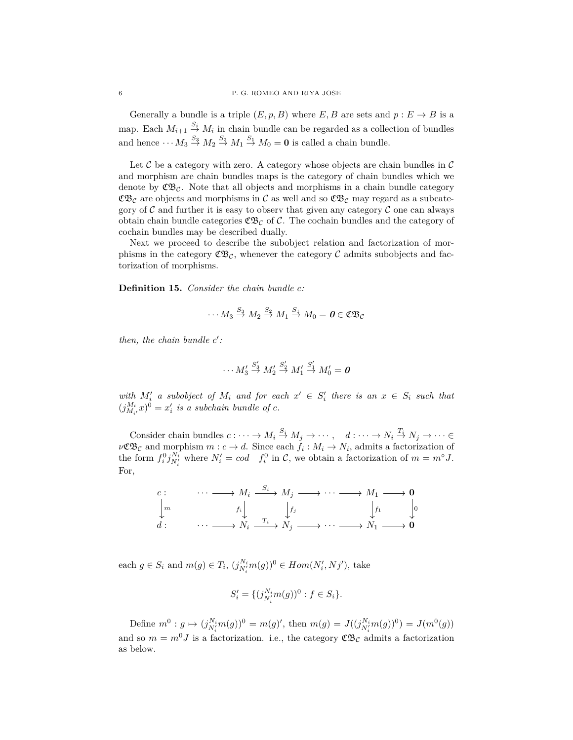Generally a bundle is a triple  $(E, p, B)$  where  $E, B$  are sets and  $p : E \to B$  is a map. Each  $M_{i+1} \stackrel{S_i}{\to} M_i$  in chain bundle can be regarded as a collection of bundles and hence  $\cdots M_3 \stackrel{S_3}{\rightarrow} M_2 \stackrel{S_2}{\rightarrow} M_1 \stackrel{S_1}{\rightarrow} M_0 = \mathbf{0}$  is called a chain bundle.

Let  $\mathcal C$  be a category with zero. A category whose objects are chain bundles in  $\mathcal C$ and morphism are chain bundles maps is the category of chain bundles which we denote by  $\mathfrak{C}\mathfrak{B}_{\mathcal{C}}$ . Note that all objects and morphisms in a chain bundle category  $\mathfrak{C}\mathfrak{B}_c$  are objects and morphisms in C as well and so  $\mathfrak{C}\mathfrak{B}_c$  may regard as a subcategory of  $C$  and further it is easy to observ that given any category  $C$  one can always obtain chain bundle categories  $\mathfrak{C} \mathfrak{B}_{\mathcal{C}}$  of  $\mathcal{C}$ . The cochain bundles and the category of cochain bundles may be described dually.

Next we proceed to describe the subobject relation and factorization of morphisms in the category  $\mathfrak{CE}_c$ , whenever the category C admits subobjects and factorization of morphisms.

**Definition 15.** *Consider the chain bundle c:*

$$
\cdots M_3 \stackrel{S_3}{\rightarrow} M_2 \stackrel{S_2}{\rightarrow} M_1 \stackrel{S_1}{\rightarrow} M_0 = \mathbf{0} \in \mathfrak{CB}_\mathcal{C}
$$

*then, the chain bundle c'*:

$$
\cdots M_3' \stackrel{S_3'}{\rightarrow} M_2' \stackrel{S_2'}{\rightarrow} M_1' \stackrel{S_1'}{\rightarrow} M_0' = 0
$$

*with*  $M'_i$  *a subobject of*  $M_i$  *and for each*  $x' \in S'_i$  *there is an*  $x \in S_i$  *such that*  $(j_{M_i}^{M_i}x)^0 = x'_i$  is a subchain bundle of *c*.

Consider chain bundles  $c: \cdots \to M_i \stackrel{S_i}{\to} M_j \to \cdots$ ,  $d: \cdots \to N_i \stackrel{T_i}{\to} N_j \to \cdots \in$  $\nu \mathfrak{C} \mathfrak{B}_c$  and morphism  $m : c \to d$ . Since each  $f_i : M_i \to N_i$ , admits a factorization of the form  $f_i^0 j_{N_i'}^{N_i}$  where  $N_i' = cod \t f_i^0$  in C, we obtain a factorization of  $m = m^\circ J$ . For,



each  $g \in S_i$  and  $m(g) \in T_i$ ,  $(j_{N_i'}^{N_i} m(g))^0 \in Hom(N_i', Nj')$ , take

$$
S_i' = \{ (j_{N_i'}^{N_i} m(g))^0 : f \in S_i \}.
$$

Define  $m^0: g \mapsto (j_{N_i'}^{N_i} m(g))^0 = m(g)'$ , then  $m(g) = J((j_{N_i'}^{N_i} m(g))^0) = J(m^0(g))$ and so  $m = m^0 J$  is a factorization. i.e., the category  $\mathfrak{C} \mathfrak{B}_{\mathcal{C}}$  admits a factorization as below.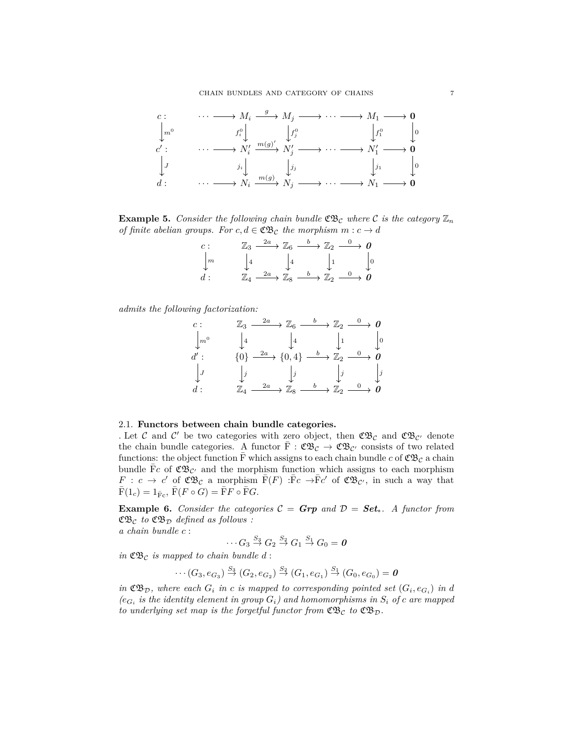

**Example 5.** *Consider the following chain bundle*  $\mathfrak{C}\mathfrak{B}_c$  *where* C *is the category*  $\mathbb{Z}_n$ *of finite abelian groups. For*  $c, d \in \mathfrak{C} \mathfrak{B}$  *c the morphism*  $m : c \to d$ 

| $\overline{c}$ : | $\mathbb{Z}_3 \longrightarrow \mathbb{Z}_6 \longrightarrow \mathbb{Z}_2 \longrightarrow 0$                                                     |  |
|------------------|------------------------------------------------------------------------------------------------------------------------------------------------|--|
| $\sqrt{n}$       | $\begin{bmatrix} 4 & 4 & 1 \end{bmatrix}$                                                                                                      |  |
| d:               | $\mathbb{Z}_4 \stackrel{2a}{\longrightarrow} \mathbb{Z}_8 \stackrel{b}{\longrightarrow} \mathbb{Z}_2 \stackrel{0}{\longrightarrow} \textbf{0}$ |  |

*admits the following factorization:*

c: 
$$
\mathbb{Z}_3 \xrightarrow{2a} \mathbb{Z}_6 \xrightarrow{b} \mathbb{Z}_2 \xrightarrow{0} 0
$$
  
\n $\downarrow m^0$   $\downarrow 4$   $\downarrow 4$   $\downarrow 1$   $\downarrow 0$   
\nd':  $\{0\} \xrightarrow{2a} \{0,4\} \xrightarrow{b} \mathbb{Z}_2 \xrightarrow{0} 0$   
\n $\downarrow J$   $\downarrow j$   $\downarrow j$   $\downarrow j$   
\nd:  $\mathbb{Z}_4 \xrightarrow{2a} \mathbb{Z}_8 \xrightarrow{b} \mathbb{Z}_2 \xrightarrow{0} 0$ 

### 2.1. **Functors between chain bundle categories.**

. Let C and C' be two categories with zero object, then  $\mathfrak{CB}_{\mathcal{C}}$  and  $\mathfrak{CB}_{\mathcal{C}'}$  denote the chain bundle categories. A functor  $\bar{F}: \mathfrak{C} \mathfrak{B}_{\mathcal{C}} \to \mathfrak{C} \mathfrak{B}_{\mathcal{C}'}$  consists of two related functions: the object function  $\bar{F}$  which assigns to each chain bundle c of  $\mathfrak{C} \mathfrak{B}_c$  a chain bundle  $\bar{F}c$  of  $\mathfrak{C} \mathfrak{B}_{\mathcal{C}'}$  and the morphism function which assigns to each morphism *F* : *c*  $\rightarrow$  *c*' of  $\mathfrak{C} \mathfrak{B}_c$  a morphism  $\bar{F}(F) : \bar{F}c \rightarrow \bar{F}c'$  of  $\mathfrak{C} \mathfrak{B}_{c'}$ , in such a way that  $\overline{F}(1_c) = 1_{\overline{F}_c}, \overline{F}(F \circ G) = \overline{F}F \circ \overline{F}G.$ 

**Example 6.** Consider the categories  $C = \text{Grp}$  and  $D = \text{Set}_*$ . A functor from  $\mathfrak{C} \mathfrak{B}_{\mathcal{C}}$  *to*  $\mathfrak{C} \mathfrak{B}_{\mathcal{D}}$  *defined as follows :*  $a$  *chain bundle* 

$$
n
$$
 *ounaue*  $c$  :

$$
\cdots G_3 \stackrel{S_3}{\rightarrow} G_2 \stackrel{S_2}{\rightarrow} G_1 \stackrel{S_1}{\rightarrow} G_0 = 0
$$

*in*  $\mathfrak{C}\mathfrak{B}_c$  *is mapped to chain bundle d*:

$$
\cdots (G_3, e_{G_3}) \stackrel{S_3}{\rightarrow} (G_2, e_{G_2}) \stackrel{S_2}{\rightarrow} (G_1, e_{G_1}) \stackrel{S_1}{\rightarrow} (G_0, e_{G_0}) = \mathbf{0}
$$

*in*  $\mathfrak{C} \mathfrak{B}_{\mathcal{D}}$ , where each  $G_i$  *in c is mapped to corresponding pointed set*  $(G_i, e_{G_i})$  *in d*  $(e_{G_i}$  *is the identity element in group*  $G_i$ *) and homomorphisms in*  $S_i$  *of c are mapped to underlying set map is the forgetful functor from*  $\mathfrak{CB}_{\mathcal{C}}$  *to*  $\mathfrak{CB}_{\mathcal{D}}$ *.*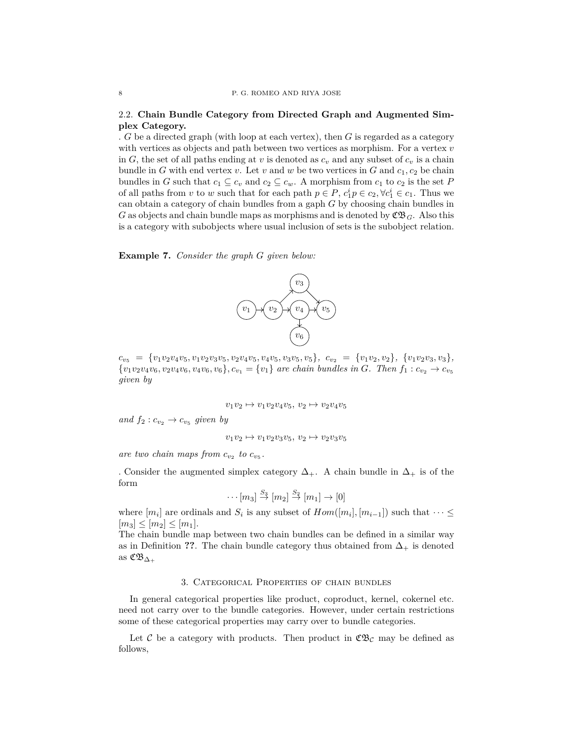# 2.2. **Chain Bundle Category from Directed Graph and Augmented Simplex Category.**

. *G* be a directed graph (with loop at each vertex), then *G* is regarded as a category with vertices as objects and path between two vertices as morphism. For a vertex *v* in *G*, the set of all paths ending at *v* is denoted as  $c_v$  and any subset of  $c_v$  is a chain bundle in *G* with end vertex *v*. Let *v* and *w* be two vertices in *G* and  $c_1$ ,  $c_2$  be chain bundles in *G* such that  $c_1 \subseteq c_v$  and  $c_2 \subseteq c_w$ . A morphism from  $c_1$  to  $c_2$  is the set *P* of all paths from *v* to *w* such that for each path  $p \in P$ ,  $c_1^i p \in c_2$ ,  $\forall c_1^i \in c_1$ . Thus we can obtain a category of chain bundles from a gaph *G* by choosing chain bundles in *G* as objects and chain bundle maps as morphisms and is denoted by  $\mathfrak{CB}_G$ . Also this is a category with subobjects where usual inclusion of sets is the subobject relation.

**Example 7.** *Consider the graph G given below:*



 $c_{v_5} = \{v_1v_2v_4v_5, v_1v_2v_3v_5, v_2v_4v_5, v_4v_5, v_3v_5, v_5\}, c_{v_2} = \{v_1v_2, v_2\}, \{v_1v_2v_3, v_3\},$  ${v_1v_2v_4v_6,v_2v_4v_6,v_4v_6,v_6}, c_{v_1} = {v_1}$  are chain bundles in G. Then  $f_1: c_{v_2} \rightarrow c_{v_5}$ *given by*

$$
v_1v_2\mapsto v_1v_2v_4v_5,\ v_2\mapsto v_2v_4v_5
$$

*and*  $f_2$  :  $c_{v_2} \rightarrow c_{v_5}$  given by

$$
v_1v_2\mapsto v_1v_2v_3v_5,\ v_2\mapsto v_2v_3v_5
$$

are two chain maps from  $c_{v_2}$  to  $c_{v_5}$ .

. Consider the augmented simplex category  $\Delta_{+}$ . A chain bundle in  $\Delta_{+}$  is of the form

$$
\cdots [m_3] \stackrel{S_3}{\rightarrow} [m_2] \stackrel{S_2}{\rightarrow} [m_1] \rightarrow [0]
$$

where  $[m_i]$  are ordinals and  $S_i$  is any subset of  $Hom([m_i], [m_{i-1}])$  such that  $\cdots \leq$  $[m_3] \leq [m_2] \leq [m_1]$ .

The chain bundle map between two chain bundles can be defined in a similar way as in Definition **??**. The chain bundle category thus obtained from  $\Delta_+$  is denoted as  $\mathfrak{C}\mathfrak{B}_{\Delta_+}$ 

#### 3. Categorical Properties of chain bundles

In general categorical properties like product, coproduct, kernel, cokernel etc. need not carry over to the bundle categories. However, under certain restrictions some of these categorical properties may carry over to bundle categories.

Let C be a category with products. Then product in  $\mathfrak{C}B_{\mathcal{C}}$  may be defined as follows,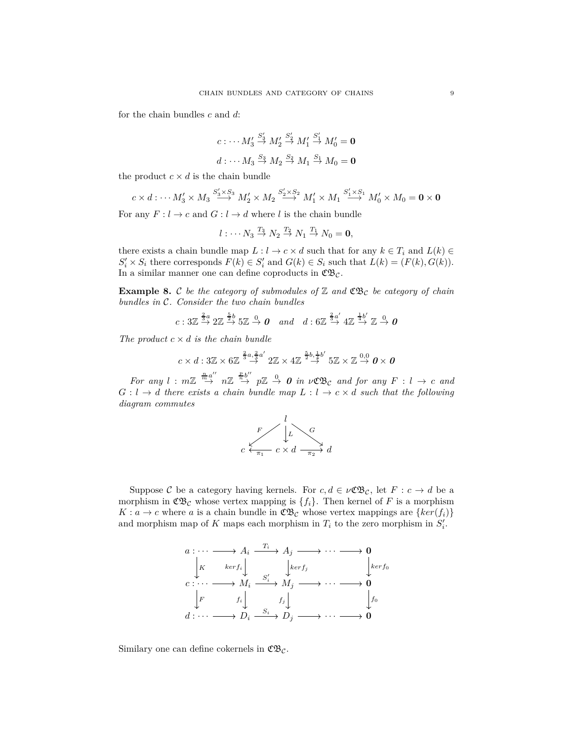for the chain bundles *c* and *d*:

$$
c: \cdots M_3' \stackrel{S_3'}{\to} M_2' \stackrel{S_2'}{\to} M_1' \stackrel{S_1'}{\to} M_0' = \mathbf{0}
$$
  

$$
d: \cdots M_3 \stackrel{S_3}{\to} M_2 \stackrel{S_2}{\to} M_1 \stackrel{S_1}{\to} M_0 = \mathbf{0}
$$

the product  $c \times d$  is the chain bundle

$$
c \times d : \cdots M'_3 \times M_3 \stackrel{S'_3 \times S_3}{\longrightarrow} M'_2 \times M_2 \stackrel{S'_2 \times S_2}{\longrightarrow} M'_1 \times M_1 \stackrel{S'_1 \times S_1}{\longrightarrow} M'_0 \times M_0 = \mathbf{0} \times \mathbf{0}
$$

For any  $F: l \to c$  and  $G: l \to d$  where *l* is the chain bundle

$$
l:\cdots N_3\stackrel{T_3}{\rightarrow}N_2\stackrel{T_2}{\rightarrow}N_1\stackrel{T_1}{\rightarrow}N_0=\mathbf{0},
$$

there exists a chain bundle map  $L: l \to c \times d$  such that for any  $k \in T_i$  and  $L(k) \in$  $S_i' \times S_i$  there corresponds  $F(k) \in S_i'$  and  $G(k) \in S_i$  such that  $L(k) = (F(k), G(k))$ . In a similar manner one can define coproducts in  $\mathfrak{C} \mathfrak{B}_{\mathcal{C}}$ .

**Example 8.** C *be the category of submodules of*  $\mathbb{Z}$  *and*  $\mathfrak{C}\mathfrak{B}_c$  *be category of chain bundles in* C*. Consider the two chain bundles*

$$
c: 3\mathbb{Z} \stackrel{\frac{2}{3}a}{\rightarrow} 2\mathbb{Z} \stackrel{\frac{5}{2}b}{\rightarrow} 5\mathbb{Z} \stackrel{0}{\rightarrow} \mathbf{0} \quad and \quad d: 6\mathbb{Z} \stackrel{\frac{2}{3}a'}{\rightarrow} 4\mathbb{Z} \stackrel{\frac{1}{4}b'}{\rightarrow} \mathbb{Z} \stackrel{0}{\rightarrow} \mathbf{0}
$$

*The product*  $c \times d$  *is the chain bundle* 

$$
c \times d: 3\mathbb{Z} \times 6\mathbb{Z} \stackrel{\frac{2}{3}a,\frac{2}{3}a'}{\rightarrow} 2\mathbb{Z} \times 4\mathbb{Z} \stackrel{\frac{5}{2}b,\frac{1}{4}b'}{\rightarrow} 5\mathbb{Z} \times \mathbb{Z} \stackrel{0,0}{\rightarrow} 0 \times 0
$$

*For any*  $l : m\mathbb{Z} \stackrel{\frac{n}{m}a''}{\rightarrow} n\mathbb{Z} \stackrel{\frac{p}{n}b''}{\rightarrow} p\mathbb{Z} \stackrel{0}{\rightarrow} 0$  *in*  $\nu \mathfrak{C} \mathfrak{B}c$  *and for any*  $F : l \rightarrow c$  *and*  $G: l \rightarrow d$  *there exists a chain bundle map*  $L: l \rightarrow c \times d$  *such that the following diagram commutes*



Suppose C be a category having kernels. For  $c, d \in \nu \mathfrak{C} \mathfrak{B}_{\mathcal{C}}$ , let  $F : c \to d$  be a morphism in  $\mathfrak{C} \mathfrak{B}_{\mathcal{C}}$  whose vertex mapping is  $\{f_i\}$ . Then kernel of F is a morphism  $K: a \to c$  where *a* is a chain bundle in  $\mathfrak{C} \mathfrak{B}_c$  whose vertex mappings are  $\{ker(f_i)\}\$ and morphism map of *K* maps each morphism in  $T_i$  to the zero morphism in  $S'_i$ .



Similary one can define cokernels in  $\mathfrak{C} \mathfrak{B}_{\mathcal{C}}$ .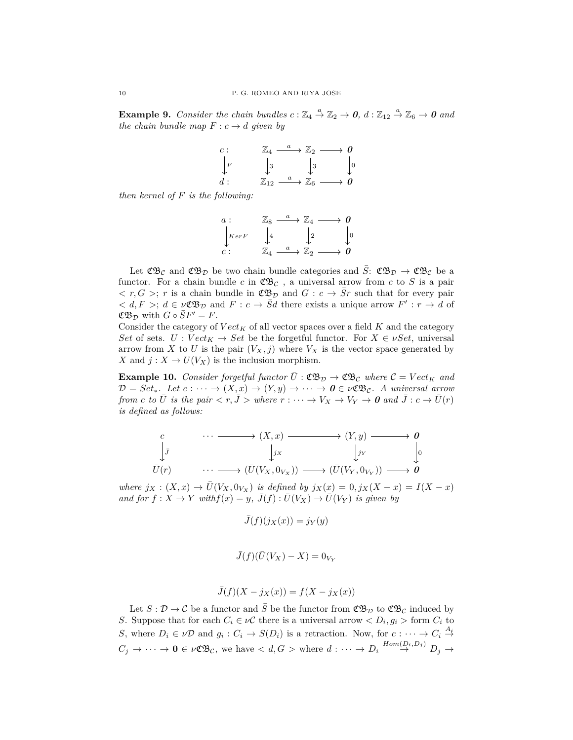**Example 9.** Consider the chain bundles  $c: \mathbb{Z}_4 \stackrel{a}{\to} \mathbb{Z}_2 \to \mathbf{0}$ ,  $d: \mathbb{Z}_{12} \stackrel{a}{\to} \mathbb{Z}_6 \to \mathbf{0}$  and *the chain bundle map*  $F: c \rightarrow d$  *given by* 

$$
\begin{array}{ccc}\nc: & \mathbb{Z}_4 \xrightarrow{a} \mathbb{Z}_2 \longrightarrow 0 \\
\downarrow F & \downarrow 3 & \downarrow 3 \\
d: & \mathbb{Z}_{12} \xrightarrow{a} \mathbb{Z}_6 \longrightarrow 0\n\end{array}
$$

*then kernel of F is the following:*

$$
\begin{array}{ccc}\n a: & \mathbb{Z}_8 \xrightarrow{a} \mathbb{Z}_4 \longrightarrow 0 \\
 \downarrow_{KerF} & \downarrow_4 & \downarrow_2 & \downarrow_0 \\
 c: & \mathbb{Z}_4 \xrightarrow{a} \mathbb{Z}_2 \longrightarrow 0\n\end{array}
$$

Let  $\mathfrak{CB}_{\mathcal{C}}$  and  $\mathfrak{CB}_{\mathcal{D}}$  be two chain bundle categories and  $\bar{S}: \mathfrak{CB}_{\mathcal{D}} \to \mathfrak{CB}_{\mathcal{C}}$  be a functor. For a chain bundle *c* in  $\mathfrak{C}\mathfrak{B}_c$ , a universal arrow from *c* to  $\overline{S}$  is a pair  $\langle r, G \rangle$ ; *r* is a chain bundle in  $\mathfrak{C} \mathfrak{B}_{\mathcal{D}}$  and  $G : c \to \overline{S}r$  such that for every pair  $\langle d, F \rangle$ ;  $d \in \nu \mathfrak{C} \mathfrak{B}_{\mathcal{D}}$  and  $F : c \to \overline{S}d$  there exists a unique arrow  $F' : r \to d$  of  $\mathfrak{C} \mathfrak{B}_{\mathcal{D}}$  with  $G \circ SF' = F$ .

Consider the category of  $Vect_K$  of all vector spaces over a field  $K$  and the category *Set* of sets. *U* :  $Vect_K \to Set$  be the forgetful functor. For  $X \in \nu Set$ , universal arrow from *X* to *U* is the pair  $(V_X, j)$  where  $V_X$  is the vector space generated by *X* and  $j: X \to U(V_X)$  is the inclusion morphism.

**Example 10.** *Consider forgetful functor*  $\bar{U}$  :  $\mathfrak{CB}_{\mathcal{D}} \to \mathfrak{CB}_{\mathcal{C}}$  *where*  $\mathcal{C} = Vect_K$  *and*  $\mathcal{D} = Set_*$ *. Let*  $c : \cdots \to (X,x) \to (Y,y) \to \cdots \to 0 \in \nu \mathfrak{CE}_c$ *. A universal arrow from c to*  $\bar{U}$  *is the pair*  $\langle r, \bar{J} \rangle$  *where*  $r : \cdots \to V_X \to V_Y \to 0$  *and*  $\bar{J} : c \to \bar{U}(r)$ *is defined as follows:*

$$
\begin{array}{cccc}\nc & \cdots & \cdots & \longrightarrow & (X, x) & \longrightarrow & (Y, y) & \longrightarrow & \mathbf{0} \\
\downarrow \bar{J} & & \downarrow \bar{J}x & & \downarrow \bar{J}y & & \downarrow 0 \\
\bar{U}(r) & & \cdots & \longrightarrow & (\bar{U}(V_X, 0_{V_X})) & \longrightarrow & (\bar{U}(V_Y, 0_{V_Y})) & \longrightarrow & \mathbf{0}\n\end{array}
$$

where  $j_X : (X, x) \to \overline{U}(V_X, 0_{V_X})$  is defined by  $j_X(x) = 0, j_X(X - x) = I(X - x)$ *and for*  $f: X \to Y$  *with* $f(x) = y$ ,  $\overline{J}(f): \overline{U}(V_X) \to \overline{U}(V_Y)$  *is given by* 

 $\overline{J}(f)(j_X(x)) = j_Y(y)$ 

$$
\bar{J}(f)(\bar{U}(V_X) - X) = 0_{V_Y}
$$

$$
\bar{J}(f)(X - j_X(x)) = f(X - j_X(x))
$$

Let  $S: \mathcal{D} \to \mathcal{C}$  be a functor and  $\overline{S}$  be the functor from  $\mathfrak{CB}_{\mathcal{D}}$  to  $\mathfrak{CB}_{\mathcal{C}}$  induced by *S*. Suppose that for each  $C_i \in \nu \mathcal{C}$  there is a universal arrow  $\langle D_i, g_i \rangle$  form  $C_i$  to *S*, where  $D_i \in \nu \mathcal{D}$  and  $g_i : C_i \to S(D_i)$  is a retraction. Now, for  $c : \cdots \to C_i \stackrel{A_i}{\to}$  $C_j \rightarrow \cdots \rightarrow 0 \in \nu \mathfrak{C} \mathfrak{B} \mathfrak{C}$ , we have  $\langle d, G \rangle$  where  $d: \cdots \rightarrow D_i \stackrel{Hom(D_i, D_j)}{\rightarrow} D_j \rightarrow$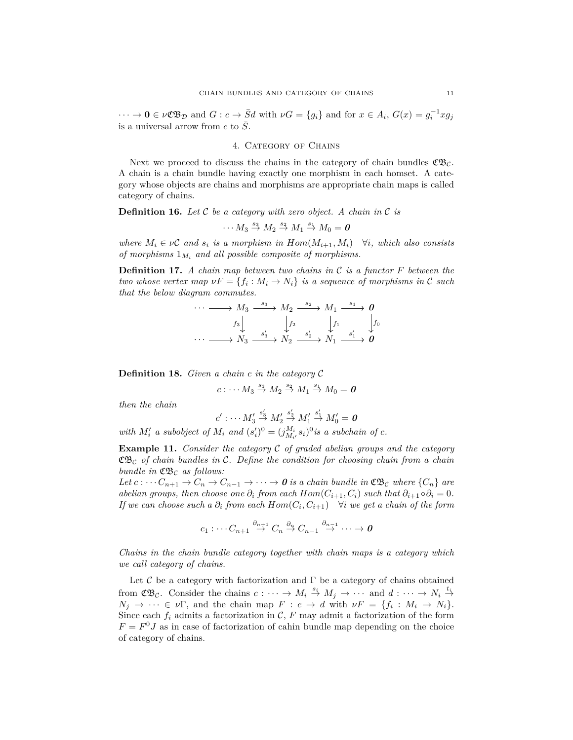$\cdots \to \mathbf{0} \in \nu \mathfrak{C} \mathfrak{B}_{\mathcal{D}}$  and  $G : c \to \overline{S}d$  with  $\nu G = \{g_i\}$  and for  $x \in A_i$ ,  $G(x) = g_i^{-1} x g_j$ is a universal arrow from  $c$  to  $\overline{S}$ .

#### 4. CATEGORY OF CHAINS

Next we proceed to discuss the chains in the category of chain bundles  $\mathfrak{C}\mathfrak{B}_{\mathcal{C}}$ . A chain is a chain bundle having exactly one morphism in each homset. A category whose objects are chains and morphisms are appropriate chain maps is called category of chains.

**Definition 16.** *Let* C *be a category with zero object. A chain in* C *is*

 $\cdots$   $M_3 \stackrel{s_3}{\rightarrow} M_2 \stackrel{s_2}{\rightarrow} M_1 \stackrel{s_1}{\rightarrow} M_0 = 0$ 

*where*  $M_i \in \nu$ **C** and  $s_i$  *is a morphism in*  $Hom(M_{i+1}, M_i)$   $\forall i$ *, which also consists of morphisms* 1*M<sup>i</sup> and all possible composite of morphisms.*

**Definition 17.** *A chain map between two chains in* C *is a functor F between the two whose vertex map*  $\nu F = \{f_i : M_i \to N_i\}$  *is a sequence of morphisms in* C *such that the below diagram commutes.*

| $\cdots \longrightarrow M_3 \xrightarrow{s_3} M_2 \xrightarrow{s_2} M_1 \xrightarrow{s_1} 0$          |  |  |
|-------------------------------------------------------------------------------------------------------|--|--|
|                                                                                                       |  |  |
| $f_3$ $f_4$ $f_2$ $f_1$ $f_2$ $f_1$ $f_2$<br>$\cdots$ $N_3$ $s'_3$ $N_2$ $s'_2$ $N_1$ $s'_1$ $\theta$ |  |  |

**Definition 18.** *Given a chain c in the category* C

$$
c: \cdots M_3 \stackrel{s_3}{\rightarrow} M_2 \stackrel{s_2}{\rightarrow} M_1 \stackrel{s_1}{\rightarrow} M_0 = 0
$$

*then the chain*

$$
c':\cdots M'_3\stackrel{s'_3}{\rightarrow}M'_2\stackrel{s'_2}{\rightarrow}M'_1\stackrel{s'_1}{\rightarrow}M'_0=0
$$

*with*  $M'_i$  *a subobject of*  $M_i$  *and*  $(s'_i)^0 = (j_{M_i}^{M_i} s_i)^0$  *is a subchain of c.* 

**Example 11.** *Consider the category* C *of graded abelian groups and the category* CB<sup>C</sup> *of chain bundles in* C*. Define the condition for choosing chain from a chain bundle in*  $\mathfrak{C} \mathfrak{B}_{\mathcal{C}}$  *as follows:* 

*Let*  $c: \cdots C_{n+1} \to C_n \to C_{n-1} \to \cdots \to 0$  *is a chain bundle in*  $\mathfrak{C} \mathfrak{B}_\mathcal{C}$  where  $\{C_n\}$  are *abelian groups, then choose one*  $\partial_i$  *from each*  $Hom(C_{i+1}, C_i)$  *such that*  $\partial_{i+1} \circ \partial_i = 0$ *. If we can choose such a*  $\partial_i$  *from each*  $Hom(C_i, C_{i+1})$   $\forall i$  *we get a chain of the form* 

$$
c_1: \cdots C_{n+1} \stackrel{\partial_{n+1}}{\to} C_n \stackrel{\partial_n}{\to} C_{n-1} \stackrel{\partial_{n-1}}{\to} \cdots \to \mathbf{0}
$$

*Chains in the chain bundle category together with chain maps is a category which we call category of chains.*

Let  $\mathcal C$  be a category with factorization and  $\Gamma$  be a category of chains obtained from  $\mathfrak{C}\mathfrak{B}_{\mathcal{C}}$ . Consider the chains  $c: \cdots \to M_i \stackrel{s_i}{\to} M_j \to \cdots$  and  $d: \cdots \to N_i \stackrel{t_i}{\to}$  $N_j \rightarrow \cdots \in \nu \Gamma$ , and the chain map  $F : c \rightarrow d$  with  $\nu F = \{f_i : M_i \rightarrow N_i\}.$ Since each  $f_i$  admits a factorization in  $\mathcal{C}, F$  may admit a factorization of the form  $F = F^0 J$  as in case of factorization of cahin bundle map depending on the choice of category of chains.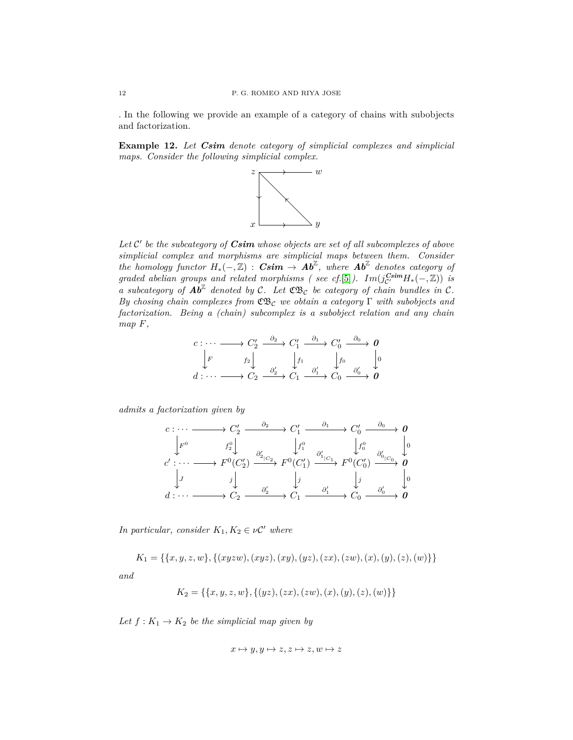. In the following we provide an example of a category of chains with subobjects and factorization.

**Example 12.** *Let Csim denote category of simplicial complexes and simplicial maps. Consider the following simplicial complex.*



Let  $\mathcal{C}'$  be the subcategory of *Csim* whose objects are set of all subcomplexes of above *simplicial complex and morphisms are simplicial maps between them. Consider*  $the$  *homology functor*  $H_*(-, \mathbb{Z})$  :  $Csim \rightarrow Ab^{\mathbb{Z}}$ , where  $Ab^{\mathbb{Z}}$  denotes category of *graded abelian groups and related morphisms ( see cf.*[\[5\]](#page-12-3)).  $Im(j_{C'}^{Csim}H_*(-,\mathbb{Z}))$  *is a* subcategory of  $\mathbf{A}\overline{b}^{\mathbb{Z}}$  denoted by C. Let  $\mathfrak{C}\mathfrak{B}_\mathcal{C}$  be category of chain bundles in C. *By chosing chain complexes from* CB<sup>C</sup> *we obtain a category* Γ *with subobjects and factorization. Being a (chain) subcomplex is a subobject relation and any chain map F,*

$$
\begin{array}{ccc}\nc: \cdots & \longrightarrow & C_2' & \xrightarrow{\partial_2} & C_1' & \xrightarrow{\partial_1} & C_0' & \xrightarrow{\partial_0} & \mathbf{0} \\
\downarrow F & & & \downarrow_{2} & & \downarrow_{f_1} & & \downarrow_{f_0} & & \downarrow_{f_0} \\
d: \cdots & \longrightarrow & C_2 & \xrightarrow{\partial_2'} & C_1 & \xrightarrow{\partial_1'} & C_0 & \xrightarrow{\partial_0'} & \mathbf{0}\n\end{array}
$$

*admits a factorization given by*

$$
c: \cdots \longrightarrow C'_2 \xrightarrow{\partial_2} C'_1 \xrightarrow{\partial_1} C'_0 \xrightarrow{\partial_0} 0
$$
  
\n
$$
\downarrow F^0 \qquad f_2^0 \downarrow \qquad \qquad \downarrow f_1^0 \qquad \qquad \downarrow f_0^0 \qquad \qquad \downarrow f_0^0
$$
  
\n
$$
c': \cdots \longrightarrow F^0(C'_2) \xrightarrow{\partial'_{2|C_2}} F^0(C'_1) \xrightarrow{\partial'_{1|C_1}} F^0(C'_0) \xrightarrow{\partial'_{0|C_0}} 0
$$
  
\n
$$
\downarrow J \qquad \qquad j \downarrow \qquad \qquad j \qquad \qquad j \qquad \qquad j \qquad \qquad j \qquad \qquad j \qquad \qquad j \qquad \qquad j \qquad \qquad j \qquad \qquad j \qquad \qquad j \qquad \qquad j \qquad \qquad j \qquad \qquad j \qquad \qquad j \qquad \qquad j \qquad \qquad j \qquad \qquad j \qquad \qquad j \qquad \qquad j \qquad \qquad j \qquad \qquad j \qquad \qquad j \qquad \qquad j \qquad \qquad j \qquad \qquad j \qquad \qquad j \qquad \qquad j \qquad \qquad j \qquad \qquad j \qquad \qquad j \qquad \qquad j \qquad \qquad j \qquad \qquad j \qquad \qquad j \qquad \qquad j \qquad \qquad j \qquad \qquad j \qquad \qquad j \qquad \qquad j \qquad \qquad j \qquad \qquad j \qquad \qquad j \qquad \qquad j \qquad \qquad j \qquad \qquad j \qquad \qquad j \qquad \qquad j \qquad \qquad j \qquad \qquad j \qquad \qquad j \qquad \qquad j \qquad \qquad j \qquad \qquad j \qquad \qquad j \qquad \qquad j \qquad \qquad j \qquad \qquad j \qquad \qquad j \qquad \qquad j \qquad \qquad j \qquad \qquad j \qquad \qquad j \qquad \qquad j \qquad \qquad j \qquad \qquad j \qquad \qquad j \qquad \qquad j \qquad \qquad j \qquad \qquad j \qquad \qquad j \qquad \qquad j \qquad \qquad j \qquad \qquad j \qquad \qquad j \qquad \qquad j \qquad \qquad j \qquad \qquad j \q
$$

*In particular, consider*  $K_1, K_2 \in \nu \mathcal{C}'$  where

 $K_1 = \{\{x, y, z, w\}, \{(xyzw), (xyz), (xy), (yz), (zx), (zw), (x), (y), (z), (w)\}\}\$ *and*

$$
K_2 = \{ \{x, y, z, w\}, \{ (yz), (zx), (zw), (x), (y), (z), (w) \} \}
$$

Let  $f: K_1 \to K_2$  be the simplicial map given by

$$
x \mapsto y, y \mapsto z, z \mapsto z, w \mapsto z
$$